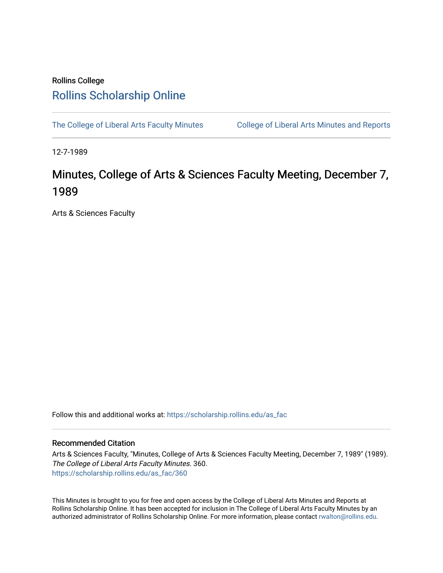## Rollins College [Rollins Scholarship Online](https://scholarship.rollins.edu/)

[The College of Liberal Arts Faculty Minutes](https://scholarship.rollins.edu/as_fac) College of Liberal Arts Minutes and Reports

12-7-1989

# Minutes, College of Arts & Sciences Faculty Meeting, December 7, 1989

Arts & Sciences Faculty

Follow this and additional works at: [https://scholarship.rollins.edu/as\\_fac](https://scholarship.rollins.edu/as_fac?utm_source=scholarship.rollins.edu%2Fas_fac%2F360&utm_medium=PDF&utm_campaign=PDFCoverPages) 

### Recommended Citation

Arts & Sciences Faculty, "Minutes, College of Arts & Sciences Faculty Meeting, December 7, 1989" (1989). The College of Liberal Arts Faculty Minutes. 360. [https://scholarship.rollins.edu/as\\_fac/360](https://scholarship.rollins.edu/as_fac/360?utm_source=scholarship.rollins.edu%2Fas_fac%2F360&utm_medium=PDF&utm_campaign=PDFCoverPages) 

This Minutes is brought to you for free and open access by the College of Liberal Arts Minutes and Reports at Rollins Scholarship Online. It has been accepted for inclusion in The College of Liberal Arts Faculty Minutes by an authorized administrator of Rollins Scholarship Online. For more information, please contact [rwalton@rollins.edu](mailto:rwalton@rollins.edu).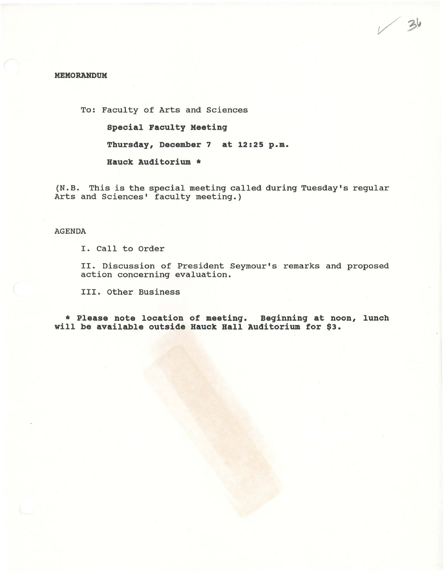#### **MEMORANDUM**

To: Faculty of Arts and Sciences **Special Faculty Meeting Thursday, December 7 at 12:25 p.m. Hauck Auditorium•** 

(N.B. This is the special meeting called during Tuesday's regular Arts and Sciences' faculty meeting.)

 $V$   $36$ 

#### AGENDA

I. Call to Order

II. Discussion of President Seymour's remarks and proposed action concerning evaluation.

III. Other Business

• **Please note location of meeting. Beginning at noon, lunch will be available outside Hauck Hall Auditorium for \$3.**